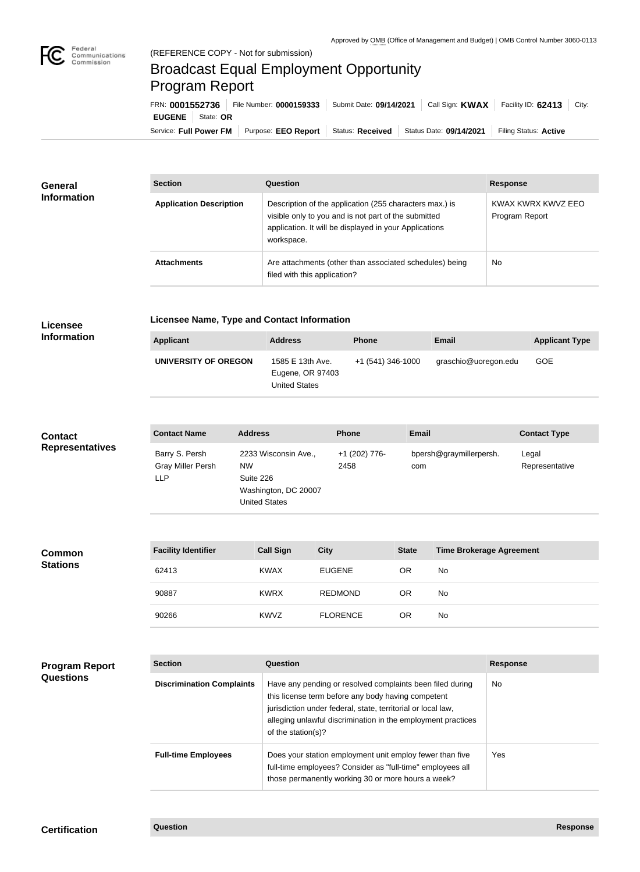

# Broadcast Equal Employment Opportunity Program Report

Service: Full Power FM Purpose: EEO Report | Status: Received | Status Date: 09/14/2021 | Filing Status: Active **EUGENE** State: **OR** FRN: **0001552736** File Number: **0000159333** Submit Date: **09/14/2021** Call Sign: **KWAX** Facility ID: **62413** City:

| <b>General</b><br><b>Information</b> | <b>Section</b>                 | Question                                                                                                                                                                                | <b>Response</b>                      |
|--------------------------------------|--------------------------------|-----------------------------------------------------------------------------------------------------------------------------------------------------------------------------------------|--------------------------------------|
|                                      | <b>Application Description</b> | Description of the application (255 characters max.) is<br>visible only to you and is not part of the submitted<br>application. It will be displayed in your Applications<br>workspace. | KWAX KWRX KWVZ EEO<br>Program Report |
|                                      | <b>Attachments</b>             | Are attachments (other than associated schedules) being<br>filed with this application?                                                                                                 | <b>No</b>                            |

## **Licensee**

### **Licensee Name, Type and Contact Information**

**Information**

| Applicant            | <b>Address</b>       | <b>Phone</b>      | <b>Email</b>         | <b>Applicant Type</b> |
|----------------------|----------------------|-------------------|----------------------|-----------------------|
| UNIVERSITY OF OREGON | 1585 E 13th Ave.     | +1 (541) 346-1000 | graschio@uoregon.edu | <b>GOE</b>            |
|                      | Eugene, OR 97403     |                   |                      |                       |
|                      | <b>United States</b> |                   |                      |                       |

#### **Contact Name Address Phone Email Contact Type** Barry S. Persh Gray Miller Persh LLP 2233 Wisconsin Ave., NW Suite 226 Washington, DC 20007 United States +1 (202) 776- 2458 bpersh@graymillerpersh. com Legal Representative **Contact Representatives**

| <b>Common</b><br><b>Stations</b> | <b>Facility Identifier</b> | <b>Call Sign</b> | <b>City</b>     | <b>State</b> | <b>Time Brokerage Agreement</b> |
|----------------------------------|----------------------------|------------------|-----------------|--------------|---------------------------------|
|                                  | 62413                      | <b>KWAX</b>      | <b>EUGENE</b>   | OR           | No                              |
|                                  | 90887                      | <b>KWRX</b>      | <b>REDMOND</b>  | OR           | No                              |
|                                  | 90266                      | <b>KWVZ</b>      | <b>FLORENCE</b> | OR           | No                              |

### **Program Report Questions**

| <b>Section</b>                   | Question                                                                                                                                                                                                                                                              | <b>Response</b> |
|----------------------------------|-----------------------------------------------------------------------------------------------------------------------------------------------------------------------------------------------------------------------------------------------------------------------|-----------------|
| <b>Discrimination Complaints</b> | Have any pending or resolved complaints been filed during<br>this license term before any body having competent<br>jurisdiction under federal, state, territorial or local law,<br>alleging unlawful discrimination in the employment practices<br>of the station(s)? | No.             |
| <b>Full-time Employees</b>       | Does your station employment unit employ fewer than five<br>full-time employees? Consider as "full-time" employees all<br>those permanently working 30 or more hours a week?                                                                                          | Yes             |